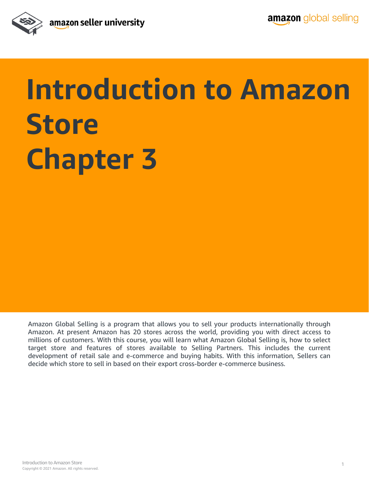

## **Introduction to Amazon Store Chapter 3**

Amazon Global Selling is a program that allows you to sell your products internationally through Amazon. At present Amazon has 20 stores across the world, providing you with direct access to millions of customers. With this course, you will learn what Amazon Global Selling is, how to select target store and features of stores available to Selling Partners. This includes the current development of retail sale and e-commerce and buying habits. With this information, Sellers can decide which store to sell in based on their export cross-border e-commerce business.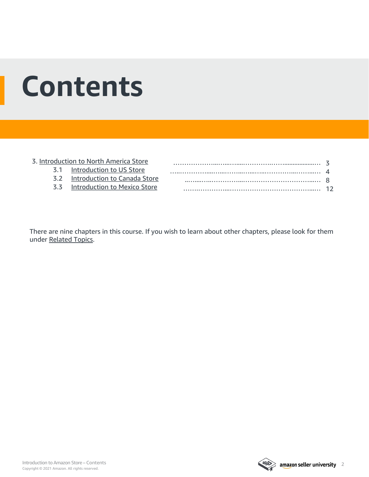## **Contents**

#### 3. [Introduction to North America Store](#page-2-0) 3.1 [Introduction to US Store](#page-3-0) 3.2 [Introduction to Canada Store](#page-7-0) 3.3 [Introduction to Mexico Store](#page-11-0) ………………...…...…....………….……..................… 3 …..…………....…...……...…...…..…………...……...… 4 ..…....…..…………...…………………………...… 8 …….…………...………………………………...… 12

There are nine chapters in this course. If you wish to learn about other chapters, please look for them under [Related Topics](#page-15-0).

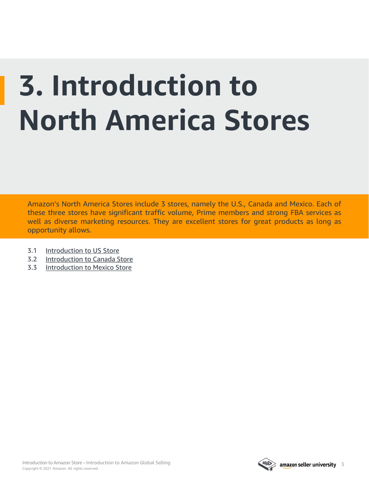# <span id="page-2-0"></span>**3. Introduction to North America Stores**

Amazon's North America Stores include 3 stores, namely the U.S., Canada and Mexico. Each of these three stores have significant traffic volume, Prime members and strong FBA services as well as diverse marketing resources. They are excellent stores for great products as long as opportunity allows.

- 3.1 [Introduction to US Store](#page-3-0)
- 3.2 [Introduction to Canada Store](#page-7-0)
- 3.3 [Introduction to Mexico Store](#page-11-0)

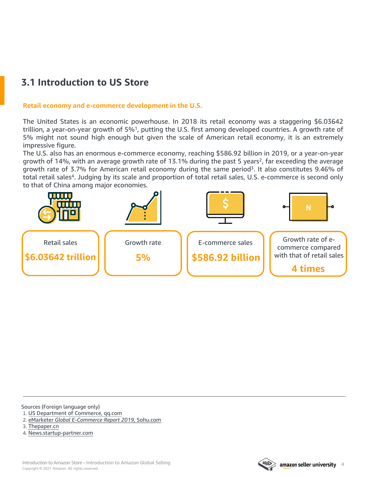## <span id="page-3-0"></span>**3.1 Introduction to US Store**

#### **Retail economy and e-commerce development in the U.S.**

The United States is an economic powerhouse. In 2018 its retail economy was a staggering \$6.03642 trillion, a year-on-year growth of 5%<sup>1</sup>, putting the U.S. first among developed countries. A growth rate of 5% might not sound high enough but given the scale of American retail economy, it is an extremely impressive figure.

The U.S. also has an enormous e-commerce economy, reaching \$586.92 billion in 2019, or a year-on-year growth of 14%, with an average growth rate of 13.1% during the past 5 years<sup>2</sup>, far exceeding the average growth rate of 3.7% for American retail economy during the same period<sup>3</sup>. It also constitutes 9.46% of total retail sales<sup>4</sup>. Judging by its scale and proportion of total retail sales, U.S. e-commerce is second only to that of China among major economies.



Sources (Foreign language only)

- 1. US [Department](https://new.qq.com/omn/20190513/20190513A0AW9E.html?pc) of Commerce, qq.com
- 2. eMarketer *Global [E-Commerce](https://www.sohu.com/a/325669193_100273032) Report 2019*, Sohu.com
- 3. [Thepaper.cn](https://baijiahao.baidu.com/s?id=1654064381492189026&wfr=spider&for=pc)
- 4. [News.startup-partner.com](http://news.startup-partner.com/news/12007.html)

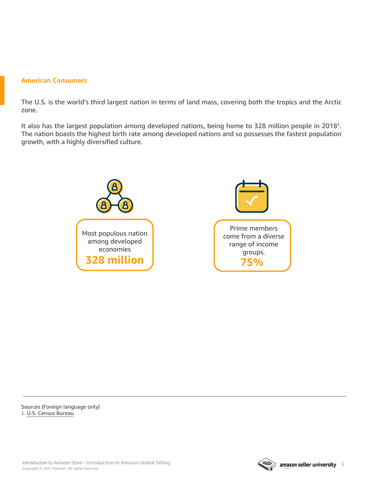#### **American Consumers**

The U.S. is the world's third largest nation in terms of land mass, covering both the tropics and the Arctic zone.

It also has the largest population among developed nations, being home to 328 million people in 20181. The nation boasts the highest birth rate among developed nations and so possesses the fastest population growth, with a highly diversified culture.



Sources (Foreign language only) 1. U.S. Census [Bureau](https://baijiahao.baidu.com/s?id=1654482195659872229&wfr=spider&for=pc)

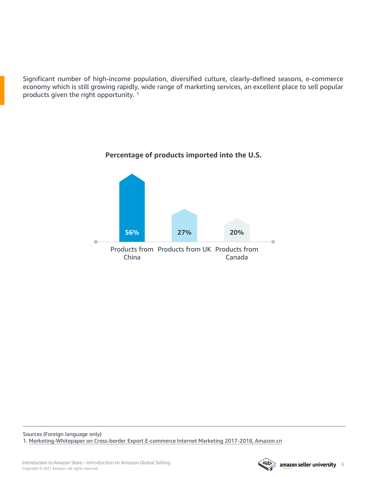Significant number of high-income population, diversified culture, clearly-defined seasons, e-commerce economy which is still growing rapidly, wide range of marketing services, an excellent place to sell popular products given the right opportunity. <sup>1</sup>



#### **Percentage of products imported into the U.S.**

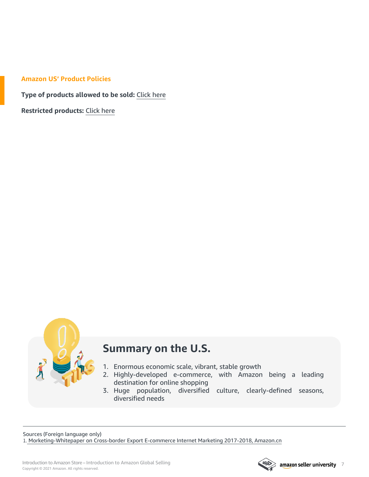#### **Amazon US' Product Policies**

**Type of products allowed to be sold:** [Click](https://sellercentral.amazon.com/gp/help/help.html?itemID=200332540&language=zh_CN&ref=efph_200332540_relt_1471&ref_=xx_swlang_head_help&mons_sel_locale=en_US&languageSwitched=1) here

**Restricted products:** [Click](https://sellercentral.amazon.com/gp/help/external/200332540?language=en_US) here



## **Summary on the U.S.**

- 1. Enormous economic scale, vibrant, stable growth
- 2. Highly-developed e-commerce, with Amazon being a leading destination for online shopping
- 3. Huge population, diversified culture, clearly-defined seasons, diversified needs

Sources (Foreign language only) 1. [Morketing-Whitepaper](https://gs.amazon.cn/north-america.html) on Cross-border Export E-commerce Internet Marketing 2017-2018, Amazon.cn

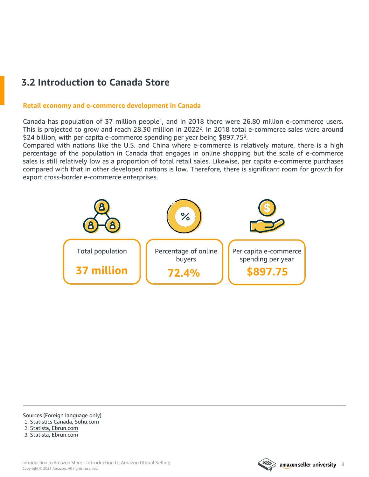## <span id="page-7-0"></span>**3.2 Introduction to Canada Store**

#### **Retail economy and e-commerce development in Canada**

Canada has population of 37 million people<sup>1</sup>, and in 2018 there were 26.80 million e-commerce users. This is projected to grow and reach 28.30 million in 2022<sup>2</sup>. In 2018 total e-commerce sales were around \$24 billion, with per capita e-commerce spending per year being \$897.75<sup>3</sup>.

Compared with nations like the U.S. and China where e-commerce is relatively mature, there is a high percentage of the population in Canada that engages in online shopping but the scale of e-commerce sales is still relatively low as a proportion of total retail sales. Likewise, per capita e-commerce purchases compared with that in other developed nations is low. Therefore, there is significant room for growth for export cross-border e-commerce enterprises.



Sources (Foreign language only)

1. Statistics Canada, [Sohu.com](https://www.sohu.com/a/306704703_100299986)

2. Statista, [Ebrun.com](http://www.ebrun.com/20180904/295633.shtml)

3. Statista, [Ebrun.com](http://www.ebrun.com/20180904/295633.shtml%0d)

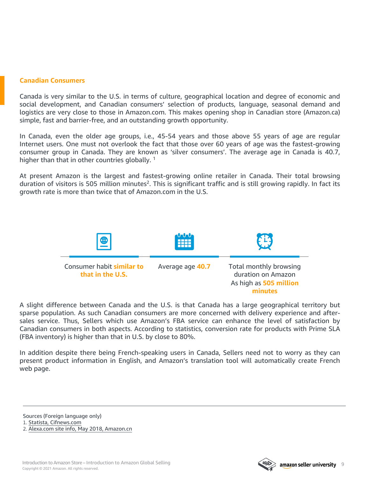#### **Canadian Consumers**

Canada is very similar to the U.S. in terms of culture, geographical location and degree of economic and social development, and Canadian consumers' selection of products, language, seasonal demand and logistics are very close to those in Amazon.com. This makes opening shop in Canadian store (Amazon.ca) simple, fast and barrier-free, and an outstanding growth opportunity.

In Canada, even the older age groups, i.e., 45-54 years and those above 55 years of age are regular Internet users. One must not overlook the fact that those over 60 years of age was the fastest-growing consumer group in Canada. They are known as 'silver consumers'. The average age in Canada is 40.7, higher than that in other countries globally.<sup>1</sup>

At present Amazon is the largest and fastest-growing online retailer in Canada. Their total browsing duration of visitors is 505 million minutes<sup>2</sup>. This is significant traffic and is still growing rapidly. In fact its growth rate is more than twice that of Amazon.com in the U.S.



A slight difference between Canada and the U.S. is that Canada has a large geographical territory but sparse population. As such Canadian consumers are more concerned with delivery experience and aftersales service. Thus, Sellers which use Amazon's FBA service can enhance the level of satisfaction by Canadian consumers in both aspects. According to statistics, conversion rate for products with Prime SLA (FBA inventory) is higher than that in U.S. by close to 80%.

In addition despite there being French-speaking users in Canada, Sellers need not to worry as they can present product information in English, and Amazon's translation tool will automatically create French web page.

Sources (Foreign language only)

1. Statista, [Cifnews.com](https://www.cifnews.com/article/38140?origin=tag_canada_amazon)

2. Alexa.com site info, May 2018, [Amazon.cn](https://gs.amazon.cn/north-america.html)

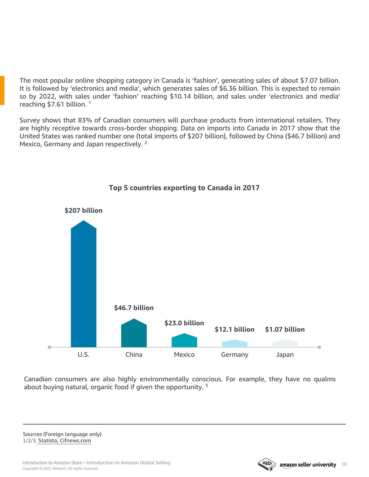The most popular online shopping category in Canada is 'fashion', generating sales of about \$7.07 billion. It is followed by 'electronics and media', which generates sales of \$6.36 billion. This is expected to remain so by 2022, with sales under 'fashion' reaching \$10.14 billion, and sales under 'electronics and media' reaching \$7.61 billion. <sup>1</sup>

Survey shows that 83% of Canadian consumers will purchase products from international retailers. They are highly receptive towards cross-border shopping. Data on imports into Canada in 2017 show that the United States was ranked number one (total imports of \$207 billion), followed by China (\$46.7 billion) and Mexico, Germany and Japan respectively.<sup>2</sup>



#### **Top 5 countries exporting to Canada in 2017**

Canadian consumers are also highly environmentally conscious. For example, they have no qualms about buying natural, organic food if given the opportunity.<sup>3</sup>

Sources (Foreign language only) 1/2/3. Statista, [Cifnews.com](https://www.cifnews.com/article/38140?origin=tag_canada_amazon)

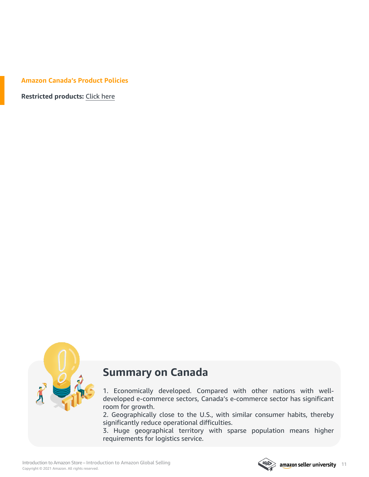#### **Amazon Canada's Product Policies**

**Restricted products:** [Click](https://sellercentral.amazon.ca/gp/help/external/200164330?language=en_CA) here



### **Summary on Canada**

1. Economically developed. Compared with other nations with welldeveloped e-commerce sectors, Canada's e-commerce sector has significant room for growth.

2. Geographically close to the U.S., with similar consumer habits, thereby significantly reduce operational difficulties.

3. Huge geographical territory with sparse population means higher requirements for logistics service.

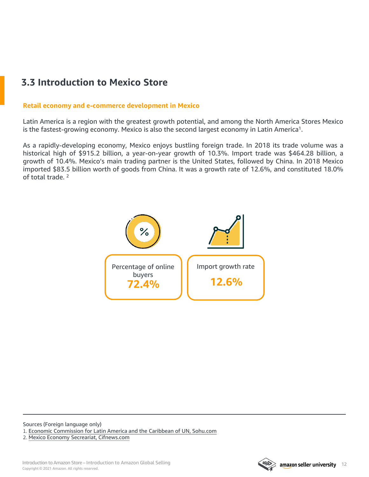## <span id="page-11-0"></span>**3.3 Introduction to Mexico Store**

#### **Retail economy and e-commerce development in Mexico**

Latin America is a region with the greatest growth potential, and among the North America Stores Mexico is the fastest-growing economy. Mexico is also the second largest economy in Latin America<sup>1</sup>.

As a rapidly-developing economy, Mexico enjoys bustling foreign trade. In 2018 its trade volume was a historical high of \$915.2 billion, a year-on-year growth of 10.3%. Import trade was \$464.28 billion, a growth of 10.4%. Mexico's main trading partner is the United States, followed by China. In 2018 Mexico imported \$83.5 billion worth of goods from China. It was a growth rate of 12.6%, and constituted 18.0% of total trade. <sup>2</sup>



Sources (Foreign language only) 1. Economic [Commission](https://www.sohu.com/a/297542493_761161) for Latin America and the Caribbean of UN, Sohu.com 2. Mexico Economy Secreariat, [Cifnews.com](http://m.cifnews.com/article/48763)

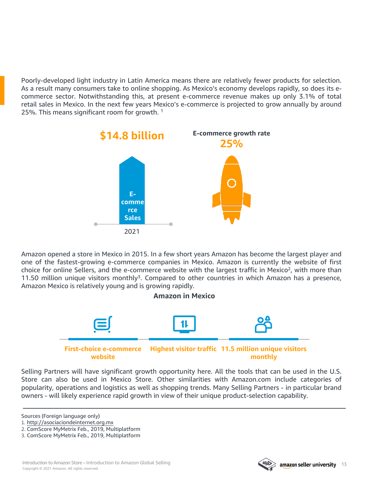Poorly-developed light industry in Latin America means there are relatively fewer products for selection. As a result many consumers take to online shopping. As Mexico's economy develops rapidly, so does its ecommerce sector. Notwithstanding this, at present e-commerce revenue makes up only 3.1% of total retail sales in Mexico. In the next few years Mexico's e-commerce is projected to grow annually by around 25%. This means significant room for growth. <sup>1</sup>



Amazon opened a store in Mexico in 2015. In a few short years Amazon has become the largest player and one of the fastest-growing e-commerce companies in Mexico. Amazon is currently the website of first choice for online Sellers, and the e-commerce website with the largest traffic in Mexico<sup>2</sup>, with more than 11.50 million unique visitors monthly<sup>3</sup>. Compared to other countries in which Amazon has a presence, Amazon Mexico is relatively young and is growing rapidly.



Selling Partners will have significant growth opportunity here. All the tools that can be used in the U.S. Store can also be used in Mexico Store. Other similarities with Amazon.com include categories of popularity, operations and logistics as well as shopping trends. Many Selling Partners - in particular brand owners - will likely experience rapid growth in view of their unique product-selection capability.

Sources (Foreign language only)

- 1. <http://asociaciondeinternet.org.mx>
- 2. ComScore MyMetrix Feb., 2019, Multiplatform



<sup>3.</sup> ComScore MyMetrix Feb., 2019, Multiplatform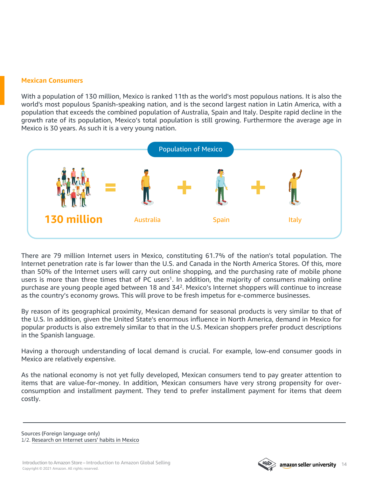#### **Mexican Consumers**

With a population of 130 million, Mexico is ranked 11th as the world's most populous nations. It is also the world's most populous Spanish-speaking nation, and is the second largest nation in Latin America, with a population that exceeds the combined population of Australia, Spain and Italy. Despite rapid decline in the growth rate of its population, Mexico's total population is still growing. Furthermore the average age in Mexico is 30 years. As such it is a very young nation.



There are 79 million Internet users in Mexico, constituting 61.7% of the nation's total population. The Internet penetration rate is far lower than the U.S. and Canada in the North America Stores. Of this, more than 50% of the Internet users will carry out online shopping, and the purchasing rate of mobile phone users is more than three times that of PC users<sup>1</sup>. In addition, the majority of consumers making online purchase are young people aged between 18 and 342. Mexico's Internet shoppers will continue to increase as the country's economy grows. This will prove to be fresh impetus for e-commerce businesses.

By reason of its geographical proximity, Mexican demand for seasonal products is very similar to that of the U.S. In addition, given the United State's enormous influence in North America, demand in Mexico for popular products is also extremely similar to that in the U.S. Mexican shoppers prefer product descriptions in the Spanish language.

Having a thorough understanding of local demand is crucial. For example, low-end consumer goods in Mexico are relatively expensive.

As the national economy is not yet fully developed, Mexican consumers tend to pay greater attention to items that are value-for-money. In addition, Mexican consumers have very strong propensity for overconsumption and installment payment. They tend to prefer installment payment for items that deem costly.

Sources (Foreign language only) 1/2. [Research](http://asociaciondeinternet.org.mx) on Internet users' habits in Mexico

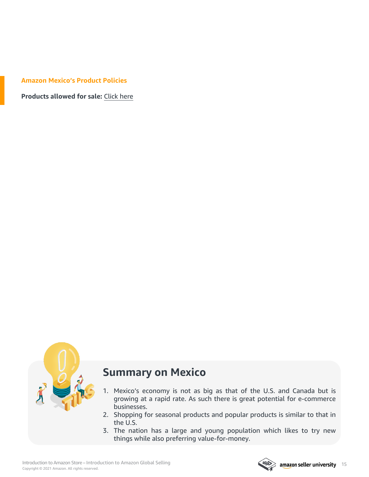#### **Amazon Mexico's Product Policies**

**Products allowed for sale:** [Click](https://vender.amazon.com.mx/vender.html?ref_=asmx_soa_rd&#product-categories) here



### **Summary on Mexico**

- 1. Mexico's economy is not as big as that of the U.S. and Canada but is growing at a rapid rate. As such there is great potential for e-commerce businesses.
- 2. Shopping for seasonal products and popular products is similar to that in the U.S.
- 3. The nation has a large and young population which likes to try new things while also preferring value-for-money.